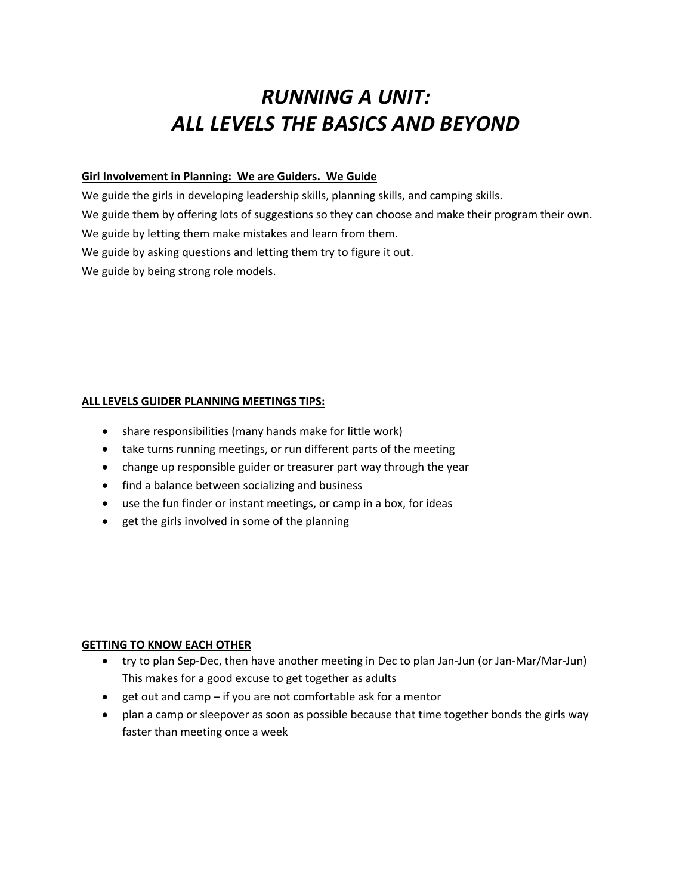# *RUNNING A UNIT: ALL LEVELS THE BASICS AND BEYOND*

# **Girl Involvement in Planning: We are Guiders. We Guide**

We guide the girls in developing leadership skills, planning skills, and camping skills. We guide them by offering lots of suggestions so they can choose and make their program their own. We guide by letting them make mistakes and learn from them. We guide by asking questions and letting them try to figure it out. We guide by being strong role models.

# **ALL LEVELS GUIDER PLANNING MEETINGS TIPS:**

- share responsibilities (many hands make for little work)
- take turns running meetings, or run different parts of the meeting
- change up responsible guider or treasurer part way through the year
- find a balance between socializing and business
- use the fun finder or instant meetings, or camp in a box, for ideas
- get the girls involved in some of the planning

# **GETTING TO KNOW EACH OTHER**

- try to plan Sep-Dec, then have another meeting in Dec to plan Jan-Jun (or Jan-Mar/Mar-Jun) This makes for a good excuse to get together as adults
- get out and camp if you are not comfortable ask for a mentor
- plan a camp or sleepover as soon as possible because that time together bonds the girls way faster than meeting once a week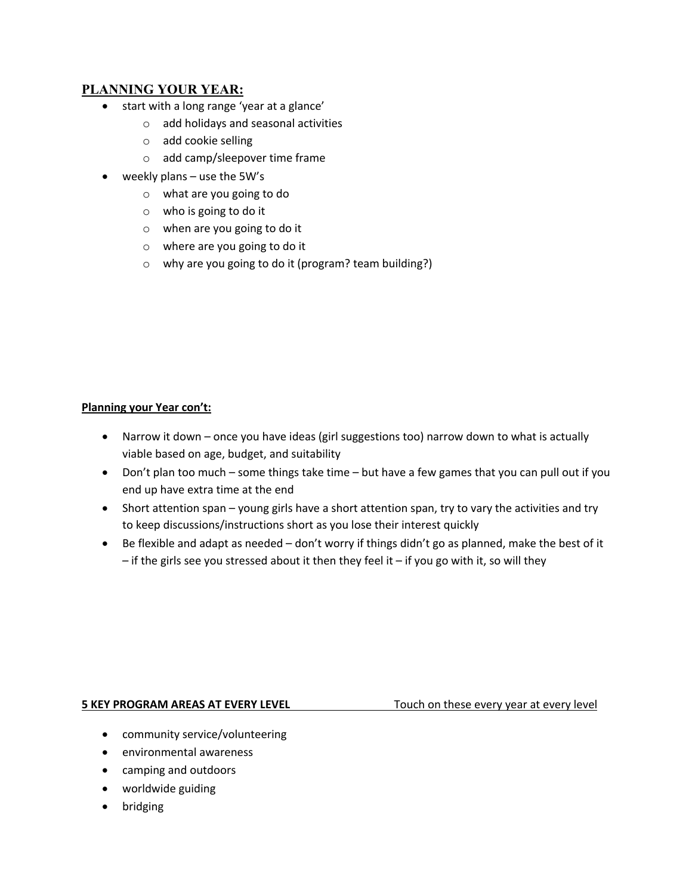# **PLANNING YOUR YEAR:**

- start with a long range 'year at a glance'
	- o add holidays and seasonal activities
	- o add cookie selling
	- o add camp/sleepover time frame
- weekly plans use the 5W's
	- o what are you going to do
	- o who is going to do it
	- o when are you going to do it
	- o where are you going to do it
	- o why are you going to do it (program? team building?)

# **Planning your Year con't:**

- Narrow it down once you have ideas (girl suggestions too) narrow down to what is actually viable based on age, budget, and suitability
- Don't plan too much some things take time but have a few games that you can pull out if you end up have extra time at the end
- Short attention span young girls have a short attention span, try to vary the activities and try to keep discussions/instructions short as you lose their interest quickly
- Be flexible and adapt as needed don't worry if things didn't go as planned, make the best of it  $-$  if the girls see you stressed about it then they feel it  $-$  if you go with it, so will they

#### **5 KEY PROGRAM AREAS AT EVERY LEVEL** Touch on these every year at every level

- community service/volunteering
- environmental awareness
- camping and outdoors
- worldwide guiding
- bridging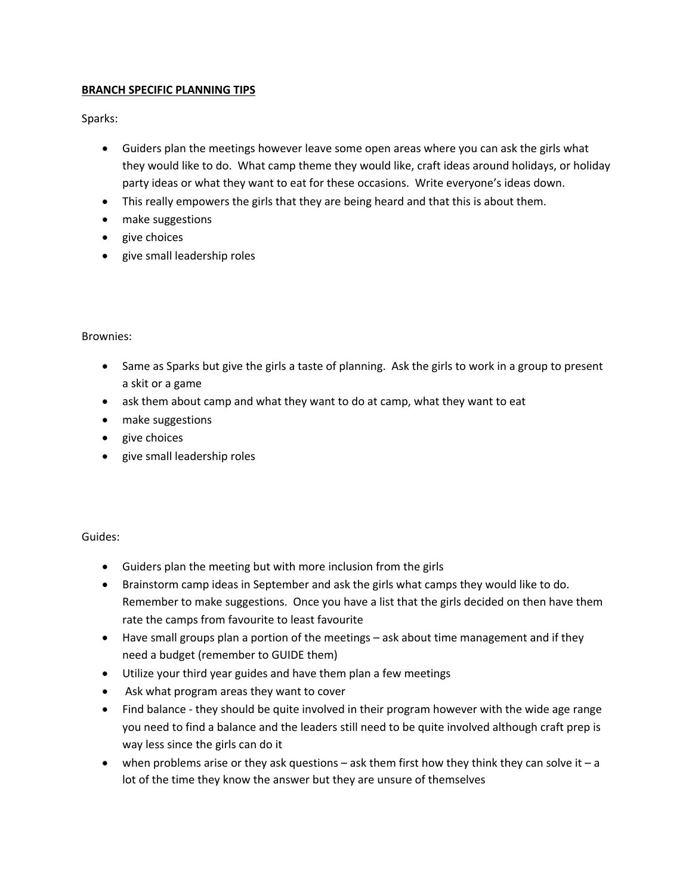# **BRANCH SPECIFIC PLANNING TIPS**

Sparks:

- Guiders plan the meetings however leave some open areas where you can ask the girls what they would like to do. What camp theme they would like, craft ideas around holidays, or holiday party ideas or what they want to eat for these occasions. Write everyone's ideas down.
- This really empowers the girls that they are being heard and that this is about them.
- make suggestions
- give choices
- give small leadership roles

# Brownies:

- Same as Sparks but give the girls a taste of planning. Ask the girls to work in a group to present a skit or a game
- ask them about camp and what they want to do at camp, what they want to eat
- make suggestions
- give choices
- give small leadership roles

Guides:

- Guiders plan the meeting but with more inclusion from the girls
- Brainstorm camp ideas in September and ask the girls what camps they would like to do. Remember to make suggestions. Once you have a list that the girls decided on then have them rate the camps from favourite to least favourite
- Have small groups plan a portion of the meetings ask about time management and if they need a budget (remember to GUIDE them)
- Utilize your third year guides and have them plan a few meetings
- Ask what program areas they want to cover
- Find balance they should be quite involved in their program however with the wide age range you need to find a balance and the leaders still need to be quite involved although craft prep is way less since the girls can do it
- when problems arise or they ask questions  $-$  ask them first how they think they can solve it  $-$  a lot of the time they know the answer but they are unsure of themselves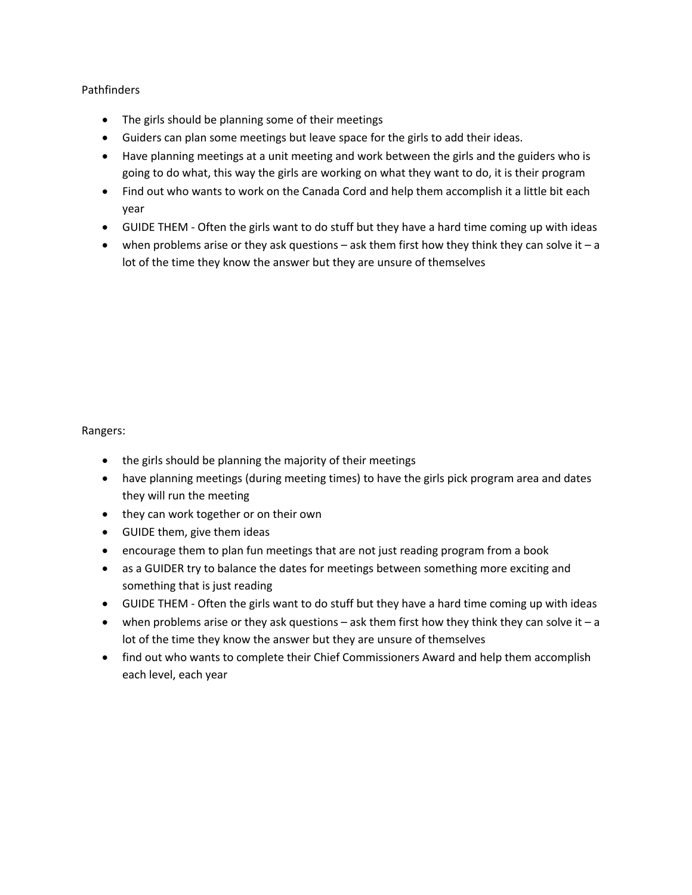# **Pathfinders**

- The girls should be planning some of their meetings
- Guiders can plan some meetings but leave space for the girls to add their ideas.
- Have planning meetings at a unit meeting and work between the girls and the guiders who is going to do what, this way the girls are working on what they want to do, it is their program
- Find out who wants to work on the Canada Cord and help them accomplish it a little bit each year
- GUIDE THEM Often the girls want to do stuff but they have a hard time coming up with ideas
- when problems arise or they ask questions  $-$  ask them first how they think they can solve it  $-$  a lot of the time they know the answer but they are unsure of themselves

#### Rangers:

- the girls should be planning the majority of their meetings
- have planning meetings (during meeting times) to have the girls pick program area and dates they will run the meeting
- they can work together or on their own
- GUIDE them, give them ideas
- encourage them to plan fun meetings that are not just reading program from a book
- as a GUIDER try to balance the dates for meetings between something more exciting and something that is just reading
- GUIDE THEM Often the girls want to do stuff but they have a hard time coming up with ideas
- when problems arise or they ask questions  $-$  ask them first how they think they can solve it  $-$  a lot of the time they know the answer but they are unsure of themselves
- find out who wants to complete their Chief Commissioners Award and help them accomplish each level, each year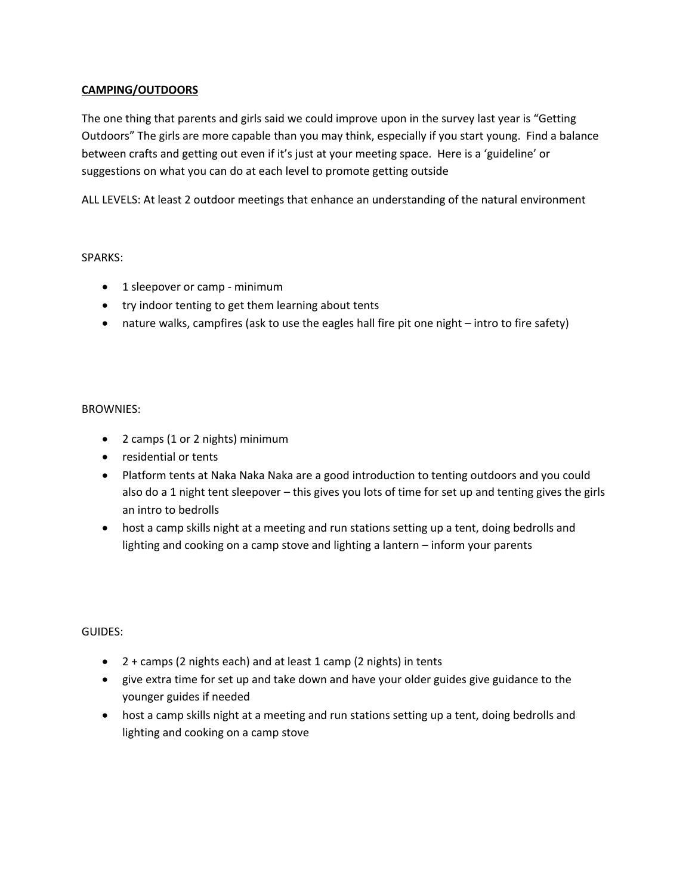# **CAMPING/OUTDOORS**

The one thing that parents and girls said we could improve upon in the survey last year is "Getting Outdoors" The girls are more capable than you may think, especially if you start young. Find a balance between crafts and getting out even if it's just at your meeting space. Here is a 'guideline' or suggestions on what you can do at each level to promote getting outside

ALL LEVELS: At least 2 outdoor meetings that enhance an understanding of the natural environment

# SPARKS:

- 1 sleepover or camp minimum
- try indoor tenting to get them learning about tents
- nature walks, campfires (ask to use the eagles hall fire pit one night intro to fire safety)

# BROWNIES:

- 2 camps (1 or 2 nights) minimum
- residential or tents
- Platform tents at Naka Naka Naka are a good introduction to tenting outdoors and you could also do a 1 night tent sleepover – this gives you lots of time for set up and tenting gives the girls an intro to bedrolls
- host a camp skills night at a meeting and run stations setting up a tent, doing bedrolls and lighting and cooking on a camp stove and lighting a lantern – inform your parents

GUIDES:

- 2 + camps (2 nights each) and at least 1 camp (2 nights) in tents
- give extra time for set up and take down and have your older guides give guidance to the younger guides if needed
- host a camp skills night at a meeting and run stations setting up a tent, doing bedrolls and lighting and cooking on a camp stove